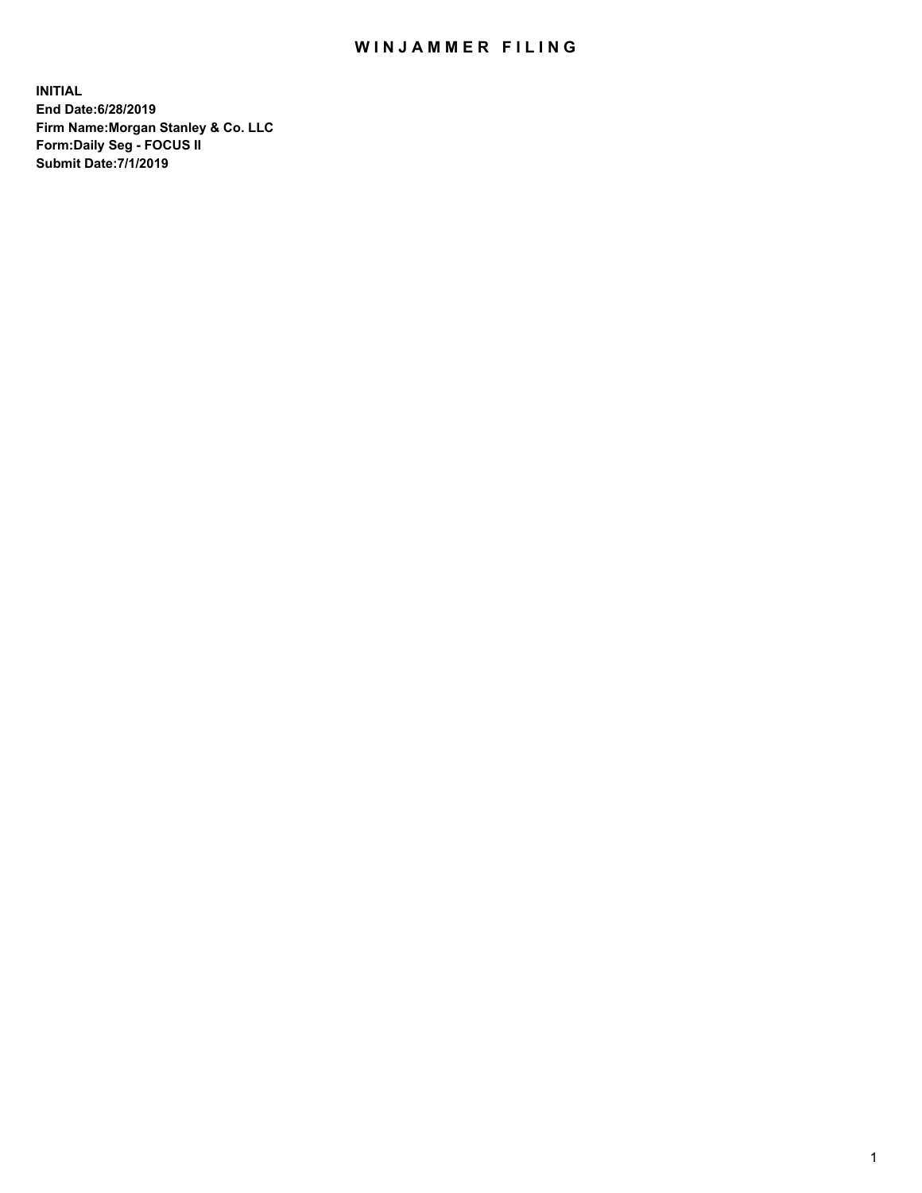## WIN JAMMER FILING

**INITIAL End Date:6/28/2019 Firm Name:Morgan Stanley & Co. LLC Form:Daily Seg - FOCUS II Submit Date:7/1/2019**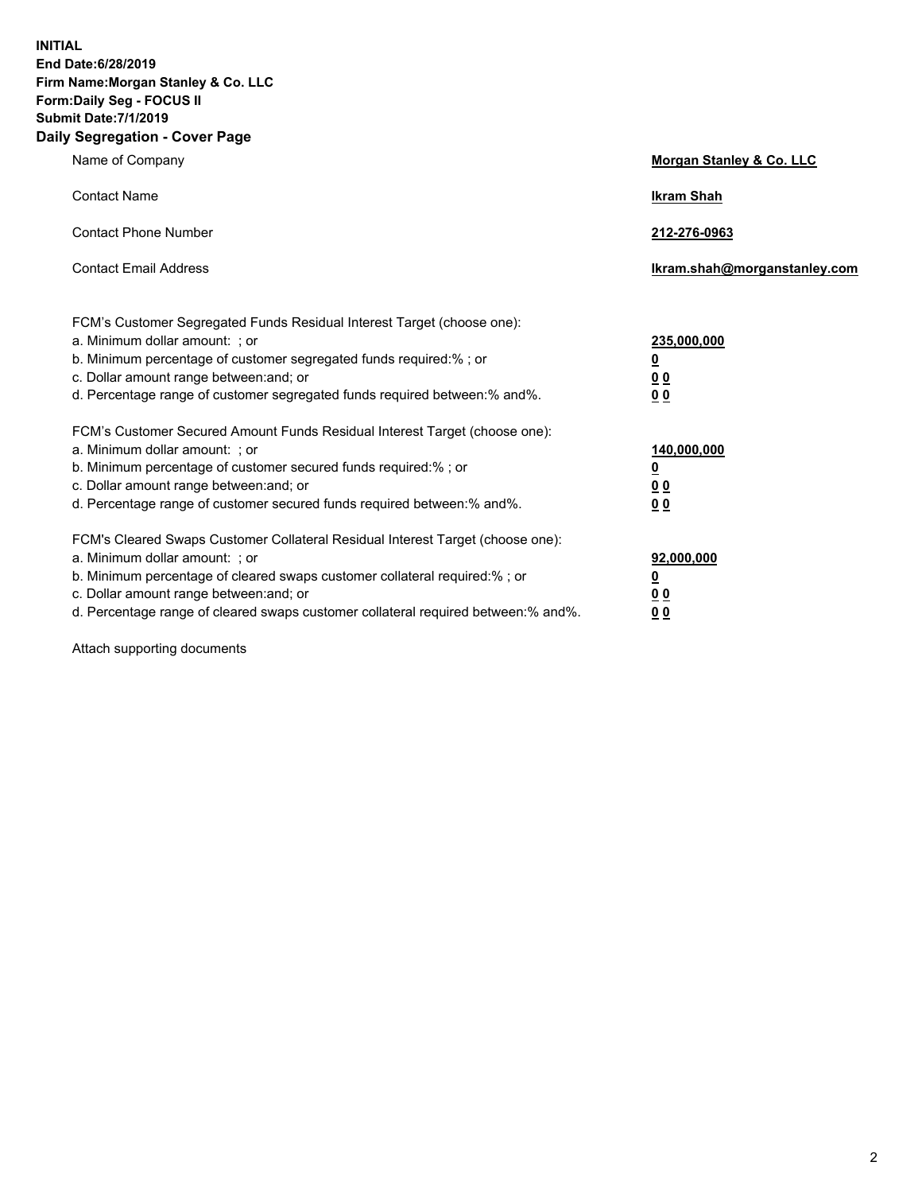**INITIAL End Date:6/28/2019 Firm Name:Morgan Stanley & Co. LLC Form:Daily Seg - FOCUS II Submit Date:7/1/2019 Daily Segregation - Cover Page**

| $0091090001 - 00101 - 090$                                                                                                                                                                                                                                                                                                     |                                                         |
|--------------------------------------------------------------------------------------------------------------------------------------------------------------------------------------------------------------------------------------------------------------------------------------------------------------------------------|---------------------------------------------------------|
| Name of Company                                                                                                                                                                                                                                                                                                                | Morgan Stanley & Co. LLC                                |
| <b>Contact Name</b>                                                                                                                                                                                                                                                                                                            | <b>Ikram Shah</b>                                       |
| <b>Contact Phone Number</b>                                                                                                                                                                                                                                                                                                    | 212-276-0963                                            |
| <b>Contact Email Address</b>                                                                                                                                                                                                                                                                                                   | Ikram.shah@morganstanley.com                            |
| FCM's Customer Segregated Funds Residual Interest Target (choose one):<br>a. Minimum dollar amount: ; or<br>b. Minimum percentage of customer segregated funds required:% ; or<br>c. Dollar amount range between: and; or<br>d. Percentage range of customer segregated funds required between:% and%.                         | 235,000,000<br><u>0</u><br><u>00</u><br>00              |
| FCM's Customer Secured Amount Funds Residual Interest Target (choose one):<br>a. Minimum dollar amount: ; or<br>b. Minimum percentage of customer secured funds required:%; or<br>c. Dollar amount range between: and; or<br>d. Percentage range of customer secured funds required between:% and%.                            | 140,000,000<br><u>0</u><br><u>0 0</u><br>0 <sup>0</sup> |
| FCM's Cleared Swaps Customer Collateral Residual Interest Target (choose one):<br>a. Minimum dollar amount: ; or<br>b. Minimum percentage of cleared swaps customer collateral required:% ; or<br>c. Dollar amount range between: and; or<br>d. Percentage range of cleared swaps customer collateral required between:% and%. | 92,000,000<br><u>0</u><br><u>00</u><br>0 <sup>0</sup>   |

Attach supporting documents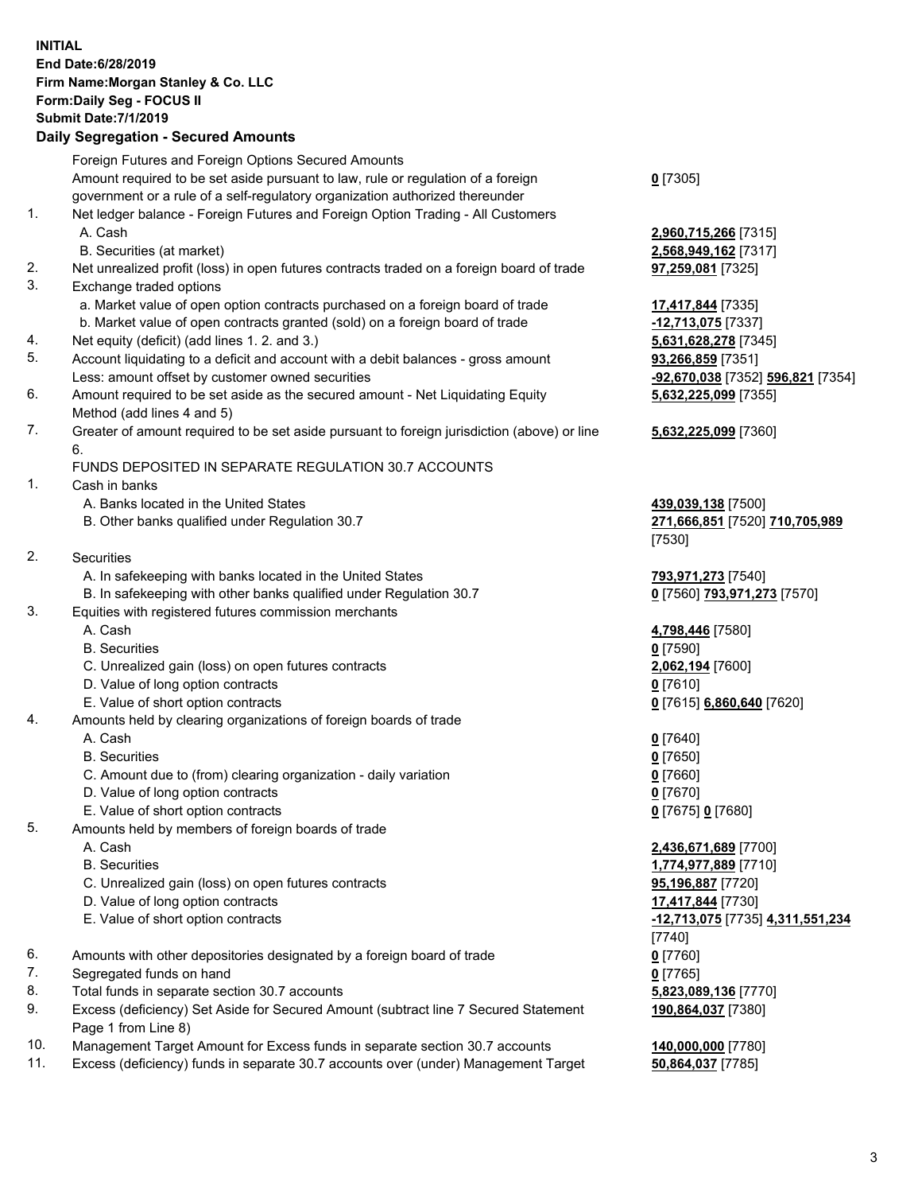## **INITIAL End Date:6/28/2019 Firm Name:Morgan Stanley & Co. LLC Form:Daily Seg - FOCUS II Submit Date:7/1/2019 Daily Segregation - Secured Amounts** Foreign Futures and Foreign Options Secured Amounts Amount required to be set aside pursuant to law, rule or regulation of a foreign government or a rule of a self-regulatory organization authorized thereunder 1. Net ledger balance - Foreign Futures and Foreign Option Trading - All Customers A. Cash **2,960,715,266** [7315] B. Securities (at market) **2,568,949,162** [7317] 2. Net unrealized profit (loss) in open futures contracts traded on a foreign board of trade **97,259,081** [7325] 3. Exchange traded options a. Market value of open option contracts purchased on a foreign board of trade **17,417,844** [7335] b. Market value of open contracts granted (sold) on a foreign board of trade **-12,713,075** [7337] 4. Net equity (deficit) (add lines 1. 2. and 3.) **5,631,628,278** [7345] 5. Account liquidating to a deficit and account with a debit balances - gross amount **93,266,859** [7351] Less: amount offset by customer owned securities **-92,670,038** [7352] **596,821** [7354] 6. Amount required to be set aside as the secured amount - Net Liquidating Equity Method (add lines 4 and 5) 7. Greater of amount required to be set aside pursuant to foreign jurisdiction (above) or line 6. FUNDS DEPOSITED IN SEPARATE REGULATION 30.7 ACCOUNTS 1. Cash in banks A. Banks located in the United States **439,039,138** [7500] B. Other banks qualified under Regulation 30.7 **271,666,851** [7520] **710,705,989** 2. Securities A. In safekeeping with banks located in the United States **793,971,273** [7540] B. In safekeeping with other banks qualified under Regulation 30.7 **0** [7560] **793,971,273** [7570] 3. Equities with registered futures commission merchants A. Cash **4,798,446** [7580] B. Securities **0** [7590] C. Unrealized gain (loss) on open futures contracts **2,062,194** [7600] D. Value of long option contracts **0** [7610] E. Value of short option contracts **0** [7615] **6,860,640** [7620] 4. Amounts held by clearing organizations of foreign boards of trade A. Cash **0** [7640] B. Securities **0** [7650] C. Amount due to (from) clearing organization - daily variation **0** [7660] D. Value of long option contracts **0** [7670] E. Value of short option contracts **0** [7675] **0** [7680] 5. Amounts held by members of foreign boards of trade A. Cash **2,436,671,689** [7700] B. Securities **1,774,977,889** [7710] C. Unrealized gain (loss) on open futures contracts **95,196,887** [7720] D. Value of long option contracts **17,417,844** [7730] E. Value of short option contracts **-12,713,075** [7735] **4,311,551,234** 6. Amounts with other depositories designated by a foreign board of trade **0** [7760] 7. Segregated funds on hand **0** [7765]

- 8. Total funds in separate section 30.7 accounts **5,823,089,136** [7770]
- 9. Excess (deficiency) Set Aside for Secured Amount (subtract line 7 Secured Statement Page 1 from Line 8)
- 10. Management Target Amount for Excess funds in separate section 30.7 accounts **140,000,000** [7780]
- 11. Excess (deficiency) funds in separate 30.7 accounts over (under) Management Target **50,864,037** [7785]

**0** [7305]

**5,632,225,099** [7355]

## **5,632,225,099** [7360]

[7530]

[7740] **190,864,037** [7380]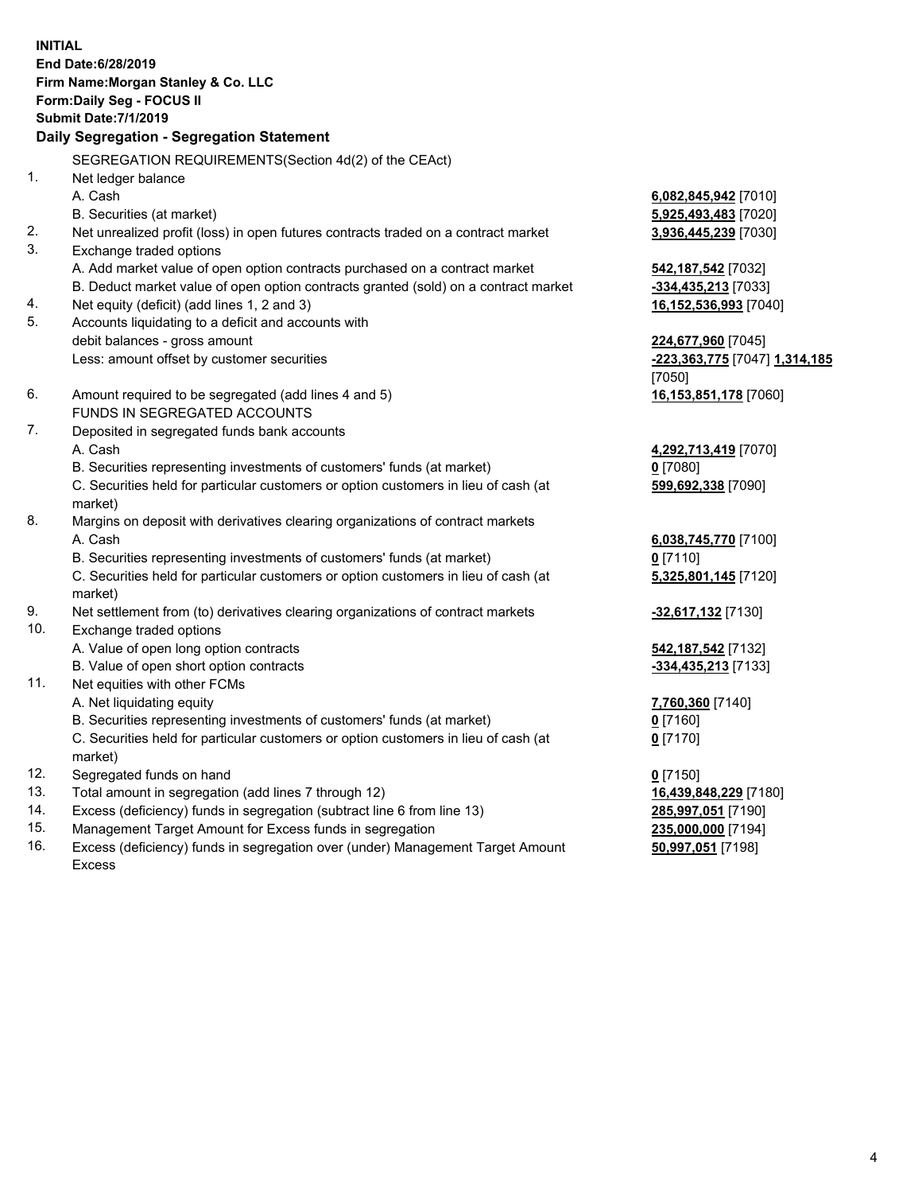**INITIAL End Date:6/28/2019 Firm Name:Morgan Stanley & Co. LLC Form:Daily Seg - FOCUS II Submit Date:7/1/2019 Daily Segregation - Segregation Statement** SEGREGATION REQUIREMENTS(Section 4d(2) of the CEAct) 1. Net ledger balance A. Cash **6,082,845,942** [7010] B. Securities (at market) **5,925,493,483** [7020] 2. Net unrealized profit (loss) in open futures contracts traded on a contract market **3,936,445,239** [7030] 3. Exchange traded options A. Add market value of open option contracts purchased on a contract market **542,187,542** [7032] B. Deduct market value of open option contracts granted (sold) on a contract market **-334,435,213** [7033] 4. Net equity (deficit) (add lines 1, 2 and 3) **16,152,536,993** [7040] 5. Accounts liquidating to a deficit and accounts with debit balances - gross amount **224,677,960** [7045] Less: amount offset by customer securities **-223,363,775** [7047] **1,314,185** [7050] 6. Amount required to be segregated (add lines 4 and 5) **16,153,851,178** [7060] FUNDS IN SEGREGATED ACCOUNTS 7. Deposited in segregated funds bank accounts A. Cash **4,292,713,419** [7070] B. Securities representing investments of customers' funds (at market) **0** [7080] C. Securities held for particular customers or option customers in lieu of cash (at market) **599,692,338** [7090] 8. Margins on deposit with derivatives clearing organizations of contract markets A. Cash **6,038,745,770** [7100] B. Securities representing investments of customers' funds (at market) **0** [7110] C. Securities held for particular customers or option customers in lieu of cash (at market) **5,325,801,145** [7120] 9. Net settlement from (to) derivatives clearing organizations of contract markets **-32,617,132** [7130] 10. Exchange traded options A. Value of open long option contracts **542,187,542** [7132] B. Value of open short option contracts **-334,435,213** [7133] 11. Net equities with other FCMs A. Net liquidating equity **7,760,360** [7140] B. Securities representing investments of customers' funds (at market) **0** [7160] C. Securities held for particular customers or option customers in lieu of cash (at market) **0** [7170] 12. Segregated funds on hand **0** [7150] 13. Total amount in segregation (add lines 7 through 12) **16,439,848,229** [7180] 14. Excess (deficiency) funds in segregation (subtract line 6 from line 13) **285,997,051** [7190]

- 15. Management Target Amount for Excess funds in segregation **235,000,000** [7194]
- 16. Excess (deficiency) funds in segregation over (under) Management Target Amount Excess

**50,997,051** [7198]